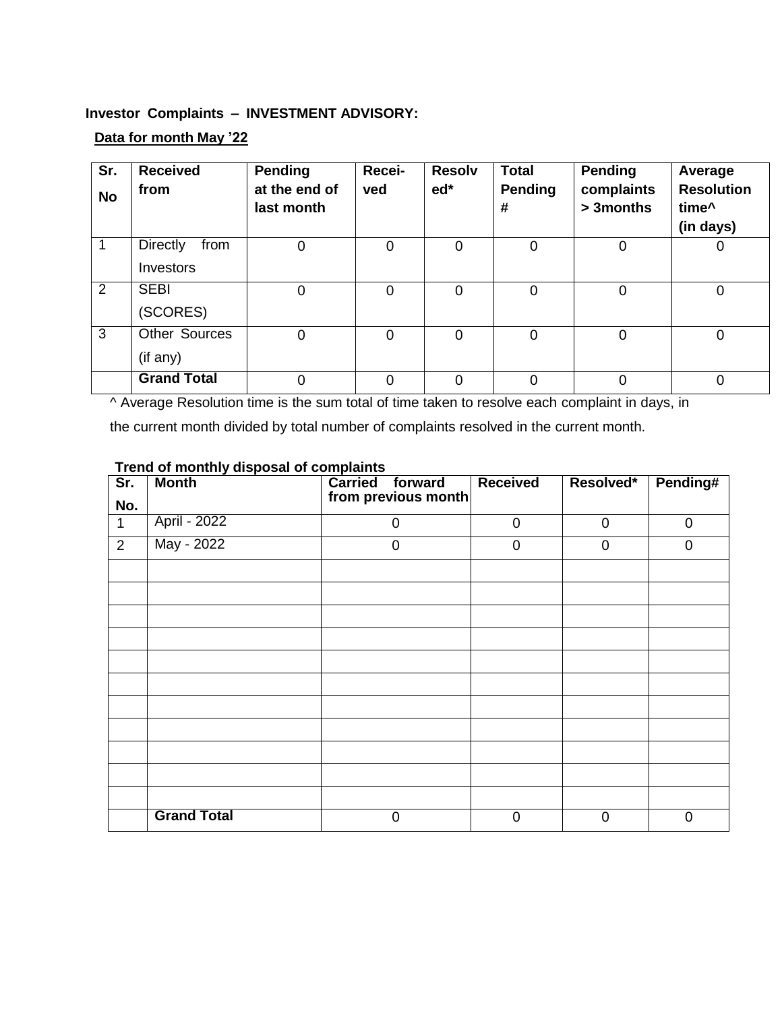## **Investor Complaints – INVESTMENT ADVISORY:**

## **Data for month May '22**

| Sr.<br><b>No</b> | <b>Received</b><br>from              | <b>Pending</b><br>at the end of<br>last month | Recei-<br>ved | <b>Resolv</b><br>$ed*$ | <b>Total</b><br>Pending<br># | Pending<br>complaints<br>> 3months | Average<br><b>Resolution</b><br>time^<br>(in days) |
|------------------|--------------------------------------|-----------------------------------------------|---------------|------------------------|------------------------------|------------------------------------|----------------------------------------------------|
|                  | <b>Directly</b><br>from<br>Investors | 0                                             | $\Omega$      | 0                      | 0                            | 0                                  | 0                                                  |
| 2                | <b>SEBI</b><br>(SCORES)              | 0                                             | $\Omega$      | 0                      | 0                            | 0                                  | 0                                                  |
| 3                | <b>Other Sources</b><br>(if any)     | 0                                             | 0             | $\overline{0}$         | $\overline{0}$               | 0                                  | 0                                                  |
|                  | <b>Grand Total</b>                   | 0                                             | $\Omega$      | 0                      | 0                            | 0                                  | 0                                                  |

^ Average Resolution time is the sum total of time taken to resolve each complaint in days, in

the current month divided by total number of complaints resolved in the current month.

| $\overline{\text{Sr.}}$ | <b>Month</b>       | <b>Carried</b><br>forward | <b>Received</b> | Resolved*      | Pending#       |
|-------------------------|--------------------|---------------------------|-----------------|----------------|----------------|
| No.                     |                    | from previous month       |                 |                |                |
| $\mathbf 1$             | April - 2022       | $\mathbf 0$               | $\mathbf 0$     | $\mathbf 0$    | $\mathbf 0$    |
| $\overline{2}$          | May - 2022         | $\mathbf 0$               | $\overline{0}$  | $\overline{0}$ | $\overline{0}$ |
|                         |                    |                           |                 |                |                |
|                         |                    |                           |                 |                |                |
|                         |                    |                           |                 |                |                |
|                         |                    |                           |                 |                |                |
|                         |                    |                           |                 |                |                |
|                         |                    |                           |                 |                |                |
|                         |                    |                           |                 |                |                |
|                         |                    |                           |                 |                |                |
|                         |                    |                           |                 |                |                |
|                         |                    |                           |                 |                |                |
|                         |                    |                           |                 |                |                |
|                         | <b>Grand Total</b> | $\mathbf 0$               | $\overline{0}$  | $\overline{0}$ | $\mathbf 0$    |

## **Trend of monthly disposal of complaints**